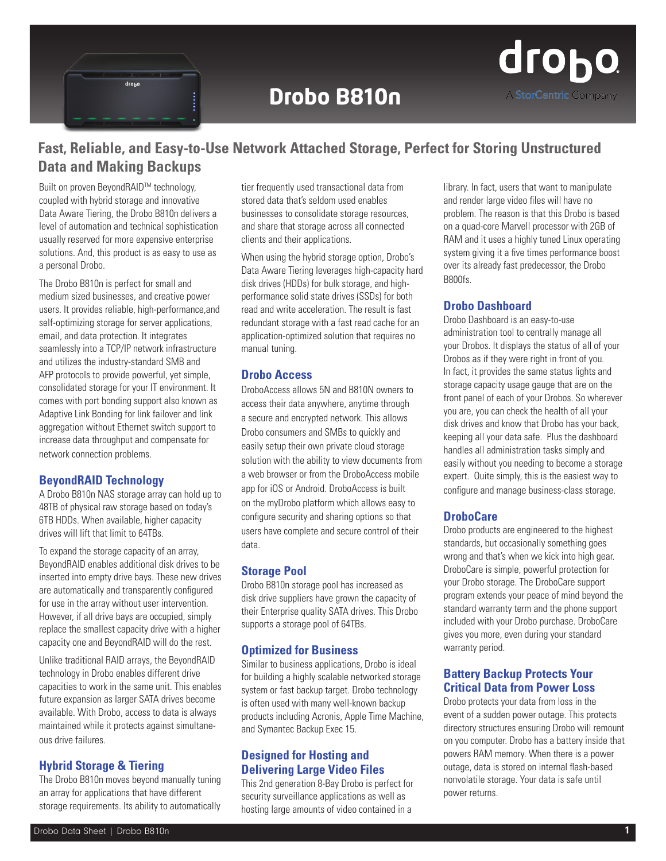

# **Drobo B810n**



# **Fast, Reliable, and Easy-to-Use Network Attached Storage, Perfect for Storing Unstructured Data and Making Backups**

Built on proven BevondRAID™ technology, coupled with hybrid storage and innovative Data Aware Tiering, the Drobo B810n delivers a level of automation and technical sophistication usually reserved for more expensive enterprise solutions. And, this product is as easy to use as a personal Drobo.

The Drobo B810n is perfect for small and medium sized businesses, and creative power users. It provides reliable, high-performance,and self-optimizing storage for server applications, email, and data protection. It integrates seamlessly into a TCP/IP network infrastructure and utilizes the industry-standard SMB and AFP protocols to provide powerful, yet simple, consolidated storage for your IT environment. It comes with port bonding support also known as Adaptive Link Bonding for link failover and link aggregation without Ethernet switch support to increase data throughput and compensate for network connection problems.

#### **BeyondRAID Technology**

A Drobo B810n NAS storage array can hold up to 48TB of physical raw storage based on today's 6TB HDDs. When available, higher capacity drives will lift that limit to 64TBs.

To expand the storage capacity of an array, BeyondRAID enables additional disk drives to be inserted into empty drive bays. These new drives are automatically and transparently configured for use in the array without user intervention. However, if all drive bays are occupied, simply replace the smallest capacity drive with a higher capacity one and BeyondRAID will do the rest.

Unlike traditional RAID arrays, the BeyondRAID technology in Drobo enables different drive capacities to work in the same unit. This enables future expansion as larger SATA drives become available. With Drobo, access to data is always maintained while it protects against simultaneous drive failures.

### **Hybrid Storage & Tiering**

The Drobo B810n moves beyond manually tuning an array for applications that have different storage requirements. Its ability to automatically tier frequently used transactional data from stored data that's seldom used enables businesses to consolidate storage resources, and share that storage across all connected clients and their applications.

When using the hybrid storage option, Drobo's Data Aware Tiering leverages high-capacity hard disk drives (HDDs) for bulk storage, and highperformance solid state drives (SSDs) for both read and write acceleration. The result is fast redundant storage with a fast read cache for an application-optimized solution that requires no manual tuning.

#### **Drobo Access**

DroboAccess allows 5N and B810N owners to access their data anywhere, anytime through a secure and encrypted network. This allows Drobo consumers and SMBs to quickly and easily setup their own private cloud storage solution with the ability to view documents from a web browser or from the DroboAccess mobile app for iOS or Android. DroboAccess is built on the myDrobo platform which allows easy to configure security and sharing options so that users have complete and secure control of their data.

#### **Storage Pool**

Drobo B810n storage pool has increased as disk drive suppliers have grown the capacity of their Enterprise quality SATA drives. This Drobo supports a storage pool of 64TBs.

#### **Optimized for Business**

Similar to business applications, Drobo is ideal for building a highly scalable networked storage system or fast backup target. Drobo technology is often used with many well-known backup products including Acronis, Apple Time Machine, and Symantec Backup Exec 15.

### **Designed for Hosting and Delivering Large Video Files**

This 2nd generation 8-Bay Drobo is perfect for security surveillance applications as well as hosting large amounts of video contained in a

library. In fact, users that want to manipulate and render large video files will have no problem. The reason is that this Drobo is based on a quad-core Marvell processor with 2GB of RAM and it uses a highly tuned Linux operating system giving it a five times performance boost over its already fast predecessor, the Drobo B800fs.

### **Drobo Dashboard**

Drobo Dashboard is an easy-to-use administration tool to centrally manage all your Drobos. It displays the status of all of your Drobos as if they were right in front of you. In fact, it provides the same status lights and storage capacity usage gauge that are on the front panel of each of your Drobos. So wherever you are, you can check the health of all your disk drives and know that Drobo has your back, keeping all your data safe. Plus the dashboard handles all administration tasks simply and easily without you needing to become a storage expert. Quite simply, this is the easiest way to configure and manage business-class storage.

### **DroboCare**

Drobo products are engineered to the highest standards, but occasionally something goes wrong and that's when we kick into high gear. DroboCare is simple, powerful protection for your Drobo storage. The DroboCare support program extends your peace of mind beyond the standard warranty term and the phone support included with your Drobo purchase. DroboCare gives you more, even during your standard warranty period.

### **Battery Backup Protects Your Critical Data from Power Loss**

Drobo protects your data from loss in the event of a sudden power outage. This protects directory structures ensuring Drobo will remount on you computer. Drobo has a battery inside that powers RAM memory. When there is a power outage, data is stored on internal flash-based nonvolatile storage. Your data is safe until power returns.